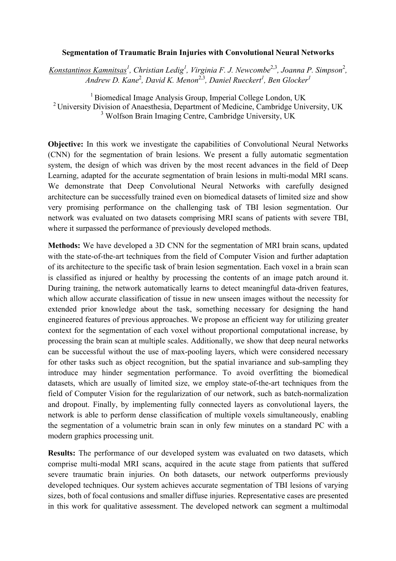## **Segmentation of Traumatic Brain Injuries with Convolutional Neural Networks**

Konstantinos Kamnitsas<sup>1</sup>, Christian Ledig<sup>1</sup>, Virginia F. J. Newcombe<sup>2,3</sup>, Joanna P. Simpson<sup>2</sup>, *Andrew D. Kane*<sup>2</sup> *, David K. Menon*2,3*, Daniel Rueckert<sup>1</sup> , Ben Glocker<sup>1</sup>*

1 Biomedical Image Analysis Group, Imperial College London, UK <sup>2</sup> University Division of Anaesthesia, Department of Medicine, Cambridge University, UK <sup>3</sup> Wolfson Brain Imaging Centre, Cambridge University, UK

**Objective:** In this work we investigate the capabilities of Convolutional Neural Networks (CNN) for the segmentation of brain lesions. We present a fully automatic segmentation system, the design of which was driven by the most recent advances in the field of Deep Learning, adapted for the accurate segmentation of brain lesions in multi-modal MRI scans. We demonstrate that Deep Convolutional Neural Networks with carefully designed architecture can be successfully trained even on biomedical datasets of limited size and show very promising performance on the challenging task of TBI lesion segmentation. Our network was evaluated on two datasets comprising MRI scans of patients with severe TBI, where it surpassed the performance of previously developed methods.

**Methods:** We have developed a 3D CNN for the segmentation of MRI brain scans, updated with the state-of-the-art techniques from the field of Computer Vision and further adaptation of its architecture to the specific task of brain lesion segmentation. Each voxel in a brain scan is classified as injured or healthy by processing the contents of an image patch around it. During training, the network automatically learns to detect meaningful data-driven features, which allow accurate classification of tissue in new unseen images without the necessity for extended prior knowledge about the task, something necessary for designing the hand engineered features of previous approaches. We propose an efficient way for utilizing greater context for the segmentation of each voxel without proportional computational increase, by processing the brain scan at multiple scales. Additionally, we show that deep neural networks can be successful without the use of max-pooling layers, which were considered necessary for other tasks such as object recognition, but the spatial invariance and sub-sampling they introduce may hinder segmentation performance. To avoid overfitting the biomedical datasets, which are usually of limited size, we employ state-of-the-art techniques from the field of Computer Vision for the regularization of our network, such as batch-normalization and dropout. Finally, by implementing fully connected layers as convolutional layers, the network is able to perform dense classification of multiple voxels simultaneously, enabling the segmentation of a volumetric brain scan in only few minutes on a standard PC with a modern graphics processing unit.

**Results:** The performance of our developed system was evaluated on two datasets, which comprise multi-modal MRI scans, acquired in the acute stage from patients that suffered severe traumatic brain injuries. On both datasets, our network outperforms previously developed techniques. Our system achieves accurate segmentation of TBI lesions of varying sizes, both of focal contusions and smaller diffuse injuries. Representative cases are presented in this work for qualitative assessment. The developed network can segment a multimodal